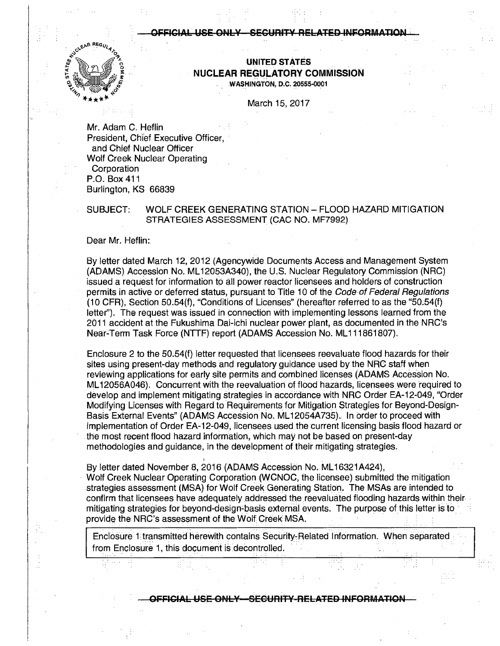### FICIAL USE ONLY—SECURITY RELATED INFORMATION



UNITED **ST ATES NUCLEAR REGULATORY COMMISSION**  .WASHINGTON, D.C. 20555-0001

March 15, 2017

Mr. Adam C. Heflin President, Chief Executive Officer. and Chief Nuclear Officer Wolf Creek Nuclear Operating Corporation P.O. Box 411 Burlington, KS 66839

## SUBJECT: WOLF CREEK GENERATING STATION - FLOOD HAZARD MITIGATION STRATEGIES ASSESSMENT (CAC NO. MF7992)

Dear Mr. Heflin:

By letter dated March 12, 2012 (Agencywide Documents Access and Management System (ADAMS) Accession No. ML 12053A340), the U.S. Nuclear Regulatory Commission (NRG) issued a request for information to all power reactor licensees and holders of construction permits in active or deferred status, pursuant to Title 10 of the Code of Federal Regulations (10 CFR), Section 50.54(f), "Conditions of Licenses" (hereafter referred to as the "50.54(f) letter"). The request was issued in connection with implementing lessons learned from the 2011 accident at the Fukushima Oai-ichi nuclear power plant, as documented in the NRC's Near-Term Task Force (NTTF) report (ADAMS Accession No. ML111861807).

Enclosure 2 to the 50.54(f) letter requested that licensees reevaluate flood hazards for their sites using present-day methods and regulatory guidance used by the NRC staff when reviewing applications for early site permits and eombined licenses (ADAMS Accession No. ML12056A046). Concurrent with the reevaluation of flood hazards, licensees were required to develop and implement mitigating strategies in accordance with NRG Order EA-12-049, "Order Modifying Licenses with Regard to Requirements for Mitigation Strategies for Beyond-Design-Basis External Events" (ADAMS Accession No. ML 12054A735). In order to proceed with implementation of Order EA-12-049, licensees used the current licensing basis flood hazard or . the most recent flood hazard information, which may not be based on present-day methodologies and guidance, in the development of their mitigating strategies.

By letter dated November 8, 2016 (ADAMS Accession No. ML16321A424),

I

· Wolf Creek Nuclear Operating Corporation (WCNOC, the licensee) submitted the mitigation strategies assessment (MSA) for Wolf Creek Generating Station. The MSAs are intended to confirm that licensees have adequately addressed the reevaluated flooding hazards within their mitigating strategies for beyond-design-basis external events. The purpose of this letter is to. provide the NRC's assessment of the Wolf Creek MSA.

Enclosure 1 transmitted herewith contains Security-Related Information. When separated from Enclosure 1, this document is decontrolled.

- **OFFICIAL USE ONLY SECURITY RELATED INFORMATION**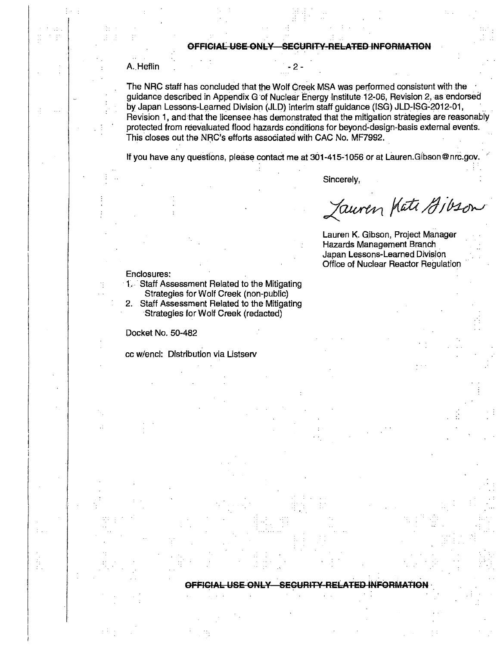## **OFFICIAL USE ONLY SECURITY RELATED INFORMATION**

## A. Heflin

The NRC staff has concluded that the Wolf Creek MSA was performed consistent with the guidance described in Appendix G of Nuclear Energy Institute 12-06, Revision 2, as endorsed by Japan Lessons-Learned Division (JLD) interim staff guidance (ISG) JLD-ISG-2012-01, Revision 1, and that the licensee has demonstrated that the mitigation strategies are reasonably protected from reevaluated flood hazards conditions for beyond-design-basis external events. This closes out the NRC's efforts associated with CAC No. MF7992.

If you have any questions, please contact me at 301-415-1056 or at Lauren.Gibson@nrc.gov.

Sincerely,

Jauren Hati Gibson

Lauren K. Gibson, Project Manager Hazards Management Branch . Japan Lessons-Learned Division Office of Nuclear Reactor Regulation

### Enclosures:

1. Staff Assessment Related to the Mitigating Strategies for Wolf Creek (non-public)

2. Staff Assessment Related to the Mitigating Strategies for Wolf Creek (redacted)

Oocket No. 50-482

cc w/encl: Distribution via Listserv

#### **USE ONLY ... SEGURITY RELATED INFORMATION**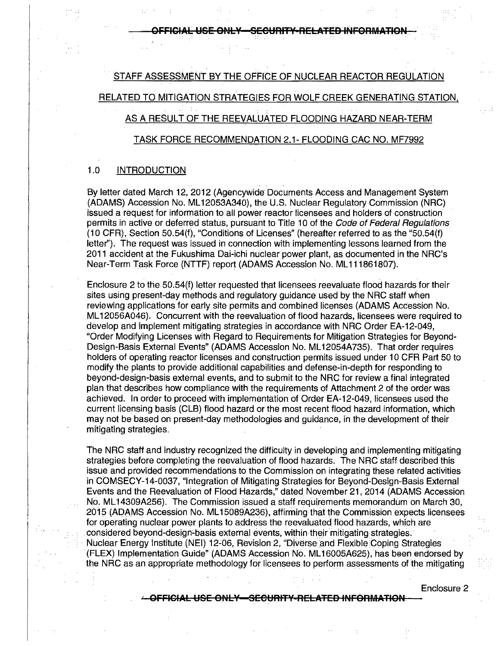OFFICIAL USE ONLY—SECURITY-RELATED INFORMATION

## STAFF ASSESSMENT BY THE OFFICE OF NUCLEAR REACTOR REGULATION

RELATED TO MITIGATION STRATEGIES FOR WOLF CREEK GENERATING STATION,

# AS A RESULT OF THE REEVALUATED FLOODING HAZARD NEAR-TERM

## TASK FORCE RECOMMENDATION 2.1- FLOODING CAC NO. MF7992

## 1.0 INTRODUCTION

By letter dated March 12, 2012 (Agencywide· Documents Access and Management System (ADAMS) Accession No. ML 12053A340), the U.S. Nuclear Regulatory Commission (NRC) issued a request for information to all power reactor licensees and holders of construction permits in active or deferred status, pursuant to Title 10 of the Code of Federal Regulations (10 CFR), Section 50.54(f), "Conditions of Licenses" (hereafter referred to as the "50.54(f) letter"). The request was issued in connection with implementing lessons learned from the 2011 accident at the Fukushima Dai-ichi nuclear power plant, as documented in the NRC's Near-Term Task Force **(NTTF)** report (ADAMS Accession No. ML 111861807).

Enclosure 2 to the 50.54(f) letter requested that licensees reevaluate flood hazards for their sites using present-day methods and regulatory guidance used by the NRC staff when reviewing applications for early site permits and combined licenses (ADAMS Accession No. ML12056A046). Concurrent with the reevaluation of flood hazards, licensees were required to develop and implement mitigating strategies in accordance with NRC Order EA-12-049, "Order Modifying Licenses with Regard to Requirements for Mitigation Strategies for Beyond-Design-Basis External Events" (ADAMS Accession No. ML12054A735). That order requires holders of operating reactor licenses and construction permits issued under 10 CFR Part 50 to modify the plants to provide additional capabilities and defense-in-depth for responding to beyond~design-basis external events, and to submit to the NRC for review a final integrated plan that describes how compliance with the requirements of Attachment 2 of the order was achieved. In order to proceed with implementation of Order EA-12-049, licensees used the current licensing basis (CLB) flood hazard or the most recent flood hazard information, which may not be based on present-day methodologies and guidance, in the development of their mitigating strategies.

The NRC staff and industry recognized the difficulty in developing and implementing mitigating strategies before completing the reevaluation of flood hazards. The NRC staff described this issue and provided recommendations to the Commission on integrating these related activities in COMSECY-14-0037, "Integration of Mitigating Strategies for Beyond-Design-Basis External Events and the Reevaluation of Flood Hazards," dated. Noyeniber 21, 2014 (ADAMS Accession No. ML14309A256). The Commission issued a staff requirements memorandum on March 30, 2015 (ADAMS Accession No. ML 15089A236), affirming that the Commission expects licensees for operating nuclear power plants to address the reevaluated flood hazards, which are considered beyond-design-basis external events, within their mitigating strategies. Nuclear Energy Institute (NEI) 12-06, Revision 2, "Diverse and Flexible Coping Strategies ·(FLEX) Implementation Guide'' (ADAMS Accession No. ML 16005A625), has been endorsed by the NRC as an appropriate methodology for licensees to perform assessments of the mitigating

Enclosure 2

**OFFICIAL USE ONL¥-SECURIT'f RELATED INFORMATION**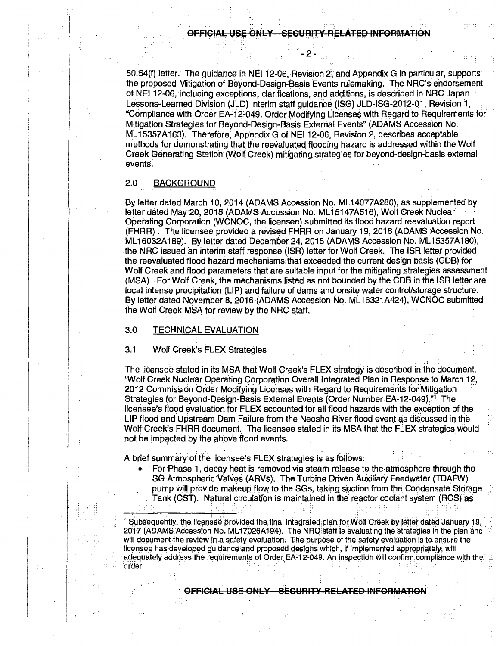50.54(f) letter. The quidance in NEI 12-06, Revision 2, and Appendix G in particular, supports the proposed Mitigation of Beyond-Design-Basis Events rulemaking. The NRC's endorsement of NEI 12-06, including exceptions, clarifications, and additions, is described in NRC Japan Lessons-Learned Division (JLD) interim staff guidance (ISG) JLD-ISG-2012-01, Revision i, "Compliance with Order EA-12-049, Order Modifying Licenses with Regard to Requirements for Mitigation Strategies for Beyond~Design-Basis EXternal Events" {ADAMS Accession No. ML15357A163). Therefore, Appendix G of NEI 12-06, Revision 2, describes acceptable methods for demonstrating that the reevaluated flooding hazard is addressed within the Wolf Creek Generating Station (Wolf Creek) mitigating strategies for beyond-design-basis external events.

## 2.0 BACKGROUND

By letter dated March 10, 2014 (ADAMS Accession No. ML 14077A280), as supplemented by letter dated May 20, 2015 (ADAMS Accession No. ML15147A516), Wolf Creek Nuclear Operating Corporation {WCNOC, the licensee) submitted its flood hazard reevaluation report (FHRR). The licensee provided a revised FHRR on January 19, 2016 (ADAMS Accession No. ML16032A189). By letter dated December 24, 2015 (ADAMS Accession No. ML15357A180), the NRC issued an interim staff response (ISR) letter for Wolf Creek. The ISR letter provided the reevaluated flood hazard mechanisms that exceeded the current design basis (GDB) for Wolf Creek and flood parameters that are suitable input for the mitigating strategies assessment (MSA). ForWolf Creek, the mechanisms listed as not.bounded by the CDB in the ISR letter are local intense precipitation (LIP) and failure of dams and onsite water control/storage structure. By letter dated November 8, 2016 (ADAMS Accession No. ML16321A424), WCNOC submitted the Wolf Creek MSA for review by the NRC staff.

## 3.0 **TECHNICAL EVALUATION**

## 3.1 Wolf Creek's FLEX Strategies

The licensee stated in its MSA that Wolf Creek's FLEX strategy is described in *the* document, "Wolf Creek Nuclear Operating Corporation Overall Integrated Plan in Response to March 12, 2012 Commission Order Modifying Licenses with Regard to Requirements for Mitigation Strategies for Beyond-Design-Basis External Events (Order Number-EA-12-049).<sup>"1</sup> The licensee's fiood evaluation for FLEX accounted for all flood hazards with the exception of the LIP flood and Upstream Dam Failure from the Neosho River flood event as discussed in the Wolf Creek's FHRR document. The licensee stated in its MSA that the FLEX strategies would not be impacted by the above flood events.

A brief summary of the licensee's FLEX strategies is as follows:

For Phase 1, decay heat is removed via steam release to the atmosphere through the SG Atmospheric Valves (ARVs). The Turbine Driven Auxiliary Feedwater (TDAFW) pump will provide makeup flow to the SGs, taking suction from the Condensate Storage Tank (CST). Natural circulation is maintained in the reactor coolant system (RCS) as

 $1$  Subsequently, the licensee provided the final integrated plan for Wolf Greek by letter dated January 19. 2017 (ADAMS Accession No. ML 17026A 194). The NRC staff is evaluating the strategies in the plan and will document the review in a safety evaluation. The purpose of the safety evaluation is to ensure the licensee has developed guidance and proposed designs which, if implemented appropriately, will adequately address the requirements of Order EA-12-049. An inspection will confirm compliance with the  $\therefore$ .. · order. · . ,·. ::": · :· · . : .. · · . · · ::. · . ··: .. :·

> .. . . OFFICIAL USE ONLY-SECURITY-RELATED INFORMATION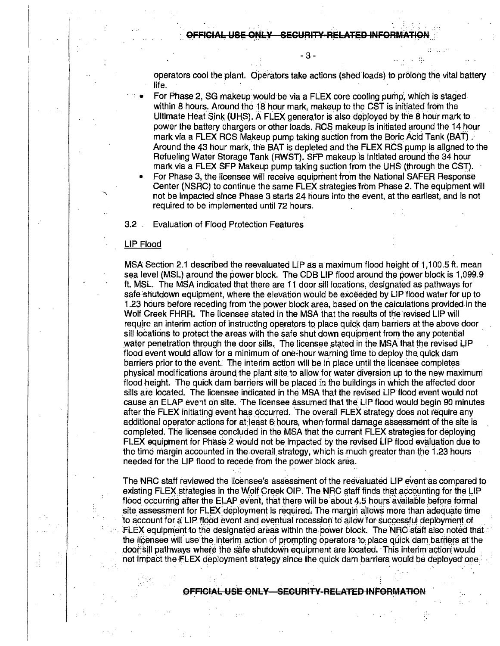- 3 -

operators cool the plant. Operators take actions (shed loads) to prolong the vital battery life.

- For Phase 2, SG makeup would be via a FLEX core cooling pump, which is staged within 8 hours. Around the 18 hour mark, makeup to the CST is initiated from the Ultimate Heat Sink (UHS). A FLEX generator is also deployed by the 8 hour mark to power the battery chargers or other loads. RCS makeup is initiated around the 14 hour mark via a FLEX RCS Makeup pump taking suction from the Boric Acid Tank (BAT).<br>Around the 43 hour mark, the BAT is depleted and the FLEX RCS pump is aligned to the Refueling Water Storage Tank (RWST). SFP makeup is initiated around the 34 hour mark via a FLEX SFP Makeup pump taking suction from the UHS (through the CST).
- For Phase 3, the licensee will receive equipment from the National SAFER Response Center (NSRC) to continue the same FLEX strategies from Phase 2. The equipment will not be impacted since Phase 3 starts 24 hours into the event, at the earliest, and is not required to be implemented until 72 hours.

3.2 . Evaluation of Flood Pr.otection Features

## LIP Flood

MSA Section 2.1 described the reevaluated LIP as a maximum flood height of 1, 100.5 ft. mean sea level (MSL) around the power block. The CDB LIP flood around the power block is 1,099.9 ft. MSL. The MSA indicated that there are 11 door sill locations, designated as pathways for safe shutdown equipment, where the elevation would be exceeded by LIP flood water for up to 1.23 hours before receding from the power block area, based.on the calculations provided. in the Wolf Creek FHRR. The licensee stated in the MSA that the results of the revised LIP will require an interim action of instructing operators to place quick dam barriers at the above door sill locations to protect the areas with the safe shut down equipment from the any potential water penetration through the door sills. The licensee stated in the MSA that the revised LIP flood event would allow for a minimum of one-hour warning time to deploy the quick dam barriers prior to the event.: The interim action will be in place until the licensee completes physical modifications around the plant site to allow for water diversion up to the new maximum flood height. The quick dam barriers will be placed in the buildings in which the affected door sills are located. The licensee indicated in the MSA that the revised LIP flood event would not cause an ELAP event on site. The licensee assumed that the LIP flood would begin 90 minutes after the FLEX initiating event has occurred. The overall FLEX strategy does not require any additional operator actions for at least 6 hours, when formal damage assessment of the site is completed. The licensee concluded in the MSA that the current FLEX strategies for deploying FLEX equipment for Phase 2 would not be impacted by the revised LIP flood evaluation due to the time margin accounted in the overall strategy, which is much greater than the 1.23 hours needed for the LIP flood to recede from the power block area.

The NRC staff reviewed the licensee's assessment of the reevaluated LIP event as compared to existing FLEX strategies in the Wolf Creek OIP. The NRC staff finds that accounting for the LIP flood occurring after the ELAP event, that there will be about 4.5 hours available before formal site assessment for FLEX deployment is required. The margin allows more than adequate time to account for a LIP flood event and eventual recession to allow for successful deployment of FLEX equipment to the designated areas within the power block. The NHC staff also noted that.:: the licensee will use the interim action of prompting operators to place quick dam barriers at the door:sill pathways where the safe shutdown equipment are located. This interim action would not impact the  $F$ LEX deployment strategy since the quick dam barriers would be deployed one

L USE ONLY SECURITY-RELATED INFORMATION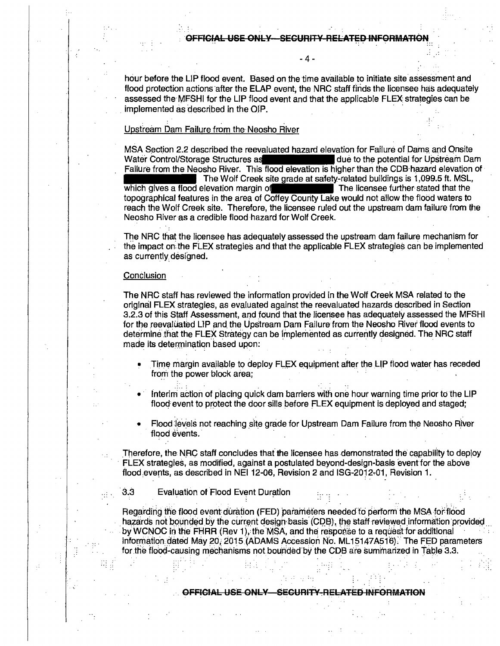- 4 -

hour before the LIP flood event. Based on the time available to initiate site assessment and flood protection actions after the ELAP event, the NRC staff finds the licensee has adequately assessed the·MFSHI for the LIP flood event and that the applicable FLEX strategies can be implemented as described in the OIP.

#### . The contribution of the contribution of the contribution  $\mathbb{R}^2$ Upsfream Dam Failure from the Neosho River

MSA Section 2.2 described the reevaluated hazard elevation for Failure of Dams and Onsite<br>Water Control/Storage Structures as **the above and a** due to the potential for Upstream Dam Water Control/Storage Structures as due to the potential for Upstream Dam Failure from the Neosho River. This flood elevation is higher than the CDB hazard elevation of The Wolf Creek site grade at safety-related buildings is 1,099.5 ft. MSL, which gives a flood elevation margin of The licensee further stated that the topographical features in the area of Coffey Courity Lake would not allow the flood waters to reach the Wolf Creek site. Therefore, the licensee ruled out the upstream dam failure from the Neosho River as a credible flood hazard for Wolf Creek.

The NRC that the licensee has adequately assessed the upstream dam failure mechanism for the impact *on* the FLEX strategies and that the applicable FLEX strategies can be implemented as currently designed.

#### **Conclusion**

The NRC staff has reviewed the information provjded in the Wolf Creek MSA related to the original FLEX strategies, as evaluated against the reevaluated hazards described in Section 3.2.3 of this Staff Assessment, and found that the licensee has adequately assessed the MFSHI for the reevaluated LIP and the Upstream Dam Failure from the Neosho River flood events to determine that the FLEX Strategy can be implemented as currently designed. The NRC staff made its determination based upon:

- Time margin available to deploy FLEX equipment after the LIP flood water has receded from the power block area;
- Interim action of placing quick dam barriers with one hour warning time prior to the LIP flood event to protect the door sills before FLEX equipment is deployed and staged;
- Flood levels not reaching site grade for Upstream Dam Failure from the Neosho River flood events.

Therefore, the NRC staff concludes that the licensee has demonstrated the capability to deploy · FLEX strategies, as modified, against a postulated beyond-design-basis event for the above flood.events, as described in NEI 12-06, Revision 2 and ISG-2012-01, Revision 1.

3.3 Evaluation of Flood Event Duration

Regarding the flood event: duration (FED) parameters needed to perform the MSA for flood hazards not bounded by the current design basis (CDB), the staff reviewed information provided by WCNOC in the FHRR (Rev 1), the MSA, and the response to a request for additional information: dated May 20, 2015 (ADAMS Accession No. ML15147A516). The FED parameters for the flood-causing mechanisms not bounded by the CDB are summarized in Table 3.3.

OFFICIAL USE ONLY SECURITY RELATED INFORMATION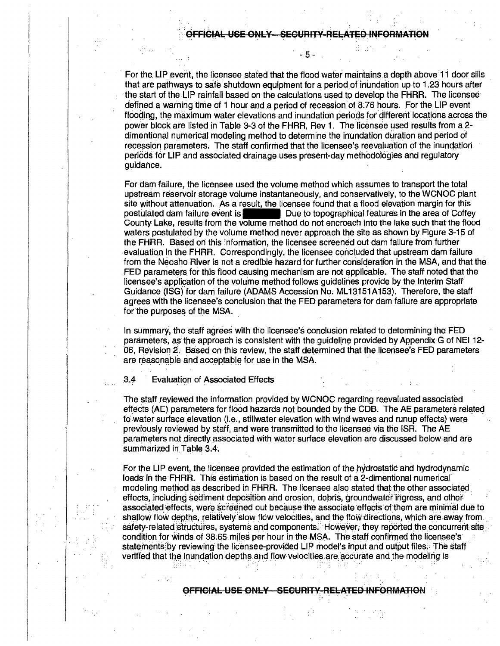$5 -$ 

For the LIP event, the licensee stated that the flood water maintains a depth above: 11 door sills that are pathways to safe shutdown equipment for a period of inundation up to 1.23 hours after ·the start of the LIP rainfall based on the calculations used to develop the fHRR. The licensee· defined a warning time of 1 hour and a period of recession of 8.76 hours. For the LIP event flooding, the maximum water elevations and inundation periods for different locations across the power block are listed in Table 3-3 of the FHRR, Rev 1. The licensee used results from a 2dimentional numerical modeling method to determine the inundation duration and period of recession parameters. The staff confirmed that the licensee's reevaluation of the inundation periods for LIP and associated drainage uses present-day methodoiogies and regulatory guidance.

For dam:failure, the licensee used the volume method which assumes to transport the total upstream reservoir storage volume instantaneously, and conservatively, to the WCNOC plant site without attenuation. As a result, the licensee found that a flood elevation margin for this Por dam failure, the licensee used the volume method which assumes to transport the total<br>upstream reservoir storage volume instantaneously, and conservatively, to the WCNOC plant<br>site without attenuation. As a result, the County Lake, results from the volume method do not encroach into the lake such thatth.e flood waters postulated by the volume method never approach the site as shown by Figure 3-15 of the FHRR. Based on this information, the licensee screened out dam failure from further evaluatian in the FHRR. Correspondingly, the licensee concluded that upstream dam failure from the Neosho River is not a credible hazard for further consideration in the MSA, and that the FED parameters for this flood causing mechanism are not applicable. The staff noted that the licensee's application of the volume method follows guidelines provide by the Interim Staff Guidance (ISG) for dam failure (ADAMS Accession No. ML13151A153). Therefore, the staff agrees with the licensee's conclusion that the FED parameters for dam failure are appropriate for the purposes of the MSA.

In summary, the staff agrees with the licensee's conclusion related to determining the FED parameters, as the approach is consistent with the quideline provided by Appendix G of NEI 12-06, Revision 2, Based on this review, the staff determined that the licensee's FED parameters are reasonable and acceptable for use in the MSA.

3.4 Evaluation of Associated Effects

The staff reviewed the information provided by WCNOC regarding reevaluated associated effects (AE) parameters for flood hazards not bounded by the CDB. The AE parameters related to water surface elevation (i.e., stillwater elevation with wind waves and runup effects) were. previously reviewed by staff, and were transmitted to the licensee via the ISR. The AE parameters not directly associated with water surface elevation are discussed below and are summarized in Table 3.4.

For tne LIP event, the liGensee provided the estimation of the hydrostatic and hydrodynamic loads in the FHRR. This estimation is based on the result of a 2-dimentional numerical' modeling method as described in FHRR. The licensee also stated that the other associated effects, including sediment deposition and erosion, debris, groundwater ingress, and other associated effects, were screened out because the associate effects of them are minimal due to shallow flow depths, relatively slow flow velocities, and the flow directions, which are away from safety-related structures, systems and components. However, they reported the concurrent site: condition for winds of 38.65 miles per hour in the MSA. The staff confirmed the licensee's statements by reviewing the licensee-provided LIP model's input and output files. The staff verified that the inundation depths and flow velocities are accurate and the modeling is

OFFICIAL USE ONLY SECURITY RELATED INFORMATION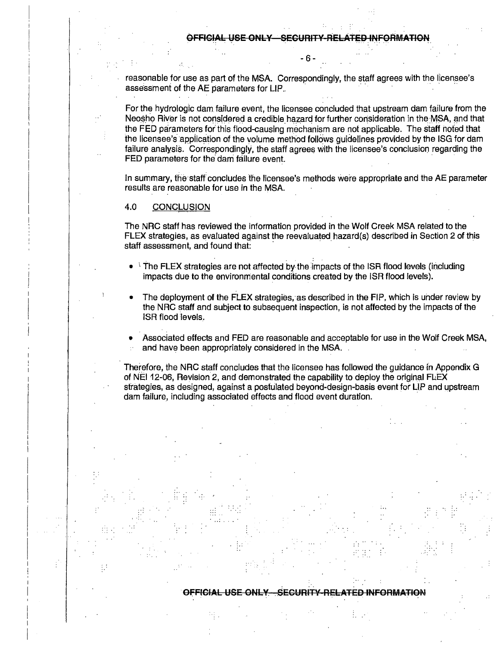- 6 -

reasonable for use as part of the MSA. Correspondingly, the staff agrees with the licensee's assessment of the AE parameters for LIP.

For the hydrologic dam failure event, the licensee concluded that upstream dam failure from the Neosho River is not considered a credible hazard for further consideration in the-MSA, and that the FED parameters for this flood-causing mechanism are not applicable. The staff noted that the licensee's application of the volume method follows quidelines provided by the ISG for dam failure analysis. Correspondingly, the staff agrees with the licensee's conclusion regarding the FED parameters for the dam failure event.

In summary, the staff concludes the licensee's methods were appropriate and the AE parameter results are reasonable for use in the MSA.

## 4.0 CONCLUSION

The NRC staff has reviewed the information provided in the Wolf Creek MSA related to the FLEX strategies, as evaluated against the reevaluated hazard(s) described in Section 2 of this staff assessment, and found that:

- $\pm$  The FLEX strategies are not affected by the impacts of the ISR flood levels (including impacts due to the environmental conditions created by the ISR flood levels).
- The deployment of the FLEX strategies, as described in the FIP, which is under review by the NRC staff and subject to subsequent inspection, is not affected by the impacts of the ISR flood levels.
- Associated effects and FED are reasonable and acceptable for use in the Wolf Creek MSA, and have been appropriately considered in the MSA. .

Therefore, the NRC staff concludes that the licensee has followed the quidance in Appendix G of NEI 12-06, Revision 2, and demonstrated the capability to deploy the original  $F$ LEX strategies, as designed, against a posftilated beyond-design-basis event for UP and upstream dam failure, including associated effects and flood event duration.

### . . . OFFICIAL USE ONLY. SECURITY RELATED INFORMATION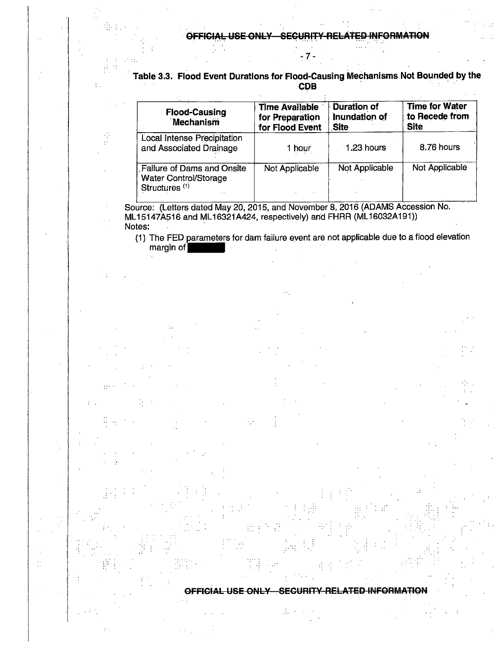<sup>~</sup>7 -

| Table 3.3. Flood Event Durations for Flood-Causing Mechanisms Not Bounded by the |  |
|----------------------------------------------------------------------------------|--|
|                                                                                  |  |
| <b>CDB</b>                                                                       |  |

| <b>Flood-Causing</b><br>Mechanism                                                              | <b>Time Available</b><br>for Preparation<br>for Flood Event | <b>Duration of</b><br>Inundation of<br>Site | <b>Time for Water</b><br>to Recede from<br><b>Site</b> |
|------------------------------------------------------------------------------------------------|-------------------------------------------------------------|---------------------------------------------|--------------------------------------------------------|
| Local Intense Precipitation<br>and Associated Drainage                                         | 1 hour.                                                     | 1.23 hours                                  | 8.76 hours                                             |
| <b>Failure of Dams and Onsite</b><br><b>Water Control/Storage</b><br>Structures <sup>(1)</sup> | Not Applicable                                              | Not Applicable                              | Not Applicable                                         |

Source: (Letters dated May 20, 2015, and November 8, 2016 (ADAMS Accession No. ML15147A516 and ML16321A424, respectively) and FHRR (ML16032A191)) Notes:

(1) The FED parameters for dam failure event are not applicable due to a flood elevation The FED parameters for dam failure event are<br>margin of

OFFICIAL USE ONLY . SECURITY RELATED INFORMATION

 $\mathbb{R}^2$ 

 $\frac{1}{2}$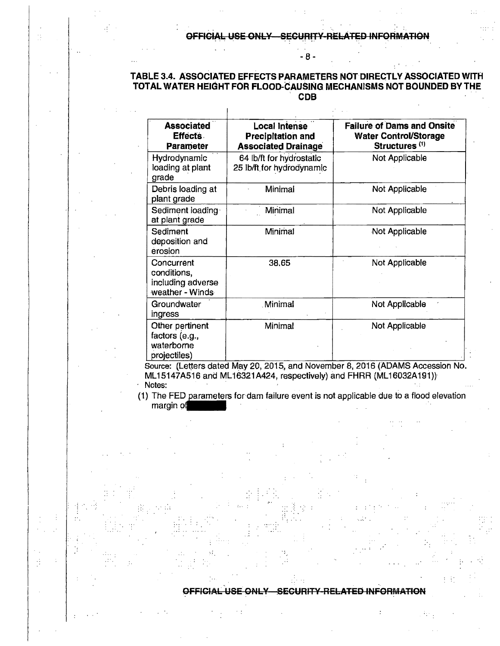- 8 -

# TABLE 3.4. ASSOCIATED EFFECTS PARAMETERS NOT DIRECTLY ASSOCIATED WITFI TOTAL WATER HEIGHT FOR FLOOD-CAUSING MECHANISMS NOT BOUNDED BY

 $\mathbf{I}$ 

| Associated<br><b>Effects</b><br>Parameter                         | Local Intense<br><b>Precipitation and</b><br><b>Associated Drainage</b> | <b>Failure of Dams and Onsite</b><br><b>Water Control/Storage</b><br>Structures <sup>(1)</sup> |  |  |
|-------------------------------------------------------------------|-------------------------------------------------------------------------|------------------------------------------------------------------------------------------------|--|--|
| Hydrodynamic<br>loading at plant<br>grade                         | 64 lb/ft for hydrostatic<br>25 lb/ft for hydrodynamic                   | Not Applicable                                                                                 |  |  |
| Debris loading at<br>plant grade                                  | Minimal                                                                 | Not Applicable                                                                                 |  |  |
| Sediment loading<br>at plant grade                                | Minimal                                                                 | Not Applicable                                                                                 |  |  |
| Sediment<br>deposition and<br>erosion                             | Minimal                                                                 | Not Applicable                                                                                 |  |  |
| Concurrent<br>conditions,<br>including adverse<br>weather - Winds | 38,65                                                                   | Not Applicable                                                                                 |  |  |
| Groundwater<br>ingress                                            | <b>Minimal</b>                                                          | Not Applicable                                                                                 |  |  |
| Other pertinent<br>factors (e.g.,<br>waterborne<br>projectiles)   | Minimal                                                                 | Not Applicable                                                                                 |  |  |

Source: (Letters dated May 20, 2015, and November 8, 2016 (ADAMS Accession No. ML15147A516 and ML16321A424, respectively) and FHRR (ML16032A191))· Notes:

(1) The FED parameters for dam failure event is not applicable due to a flood elevation mar.gin of

## OFFICIAL USE ONLY-SECURITY-RELATED INFORMATION

Æ